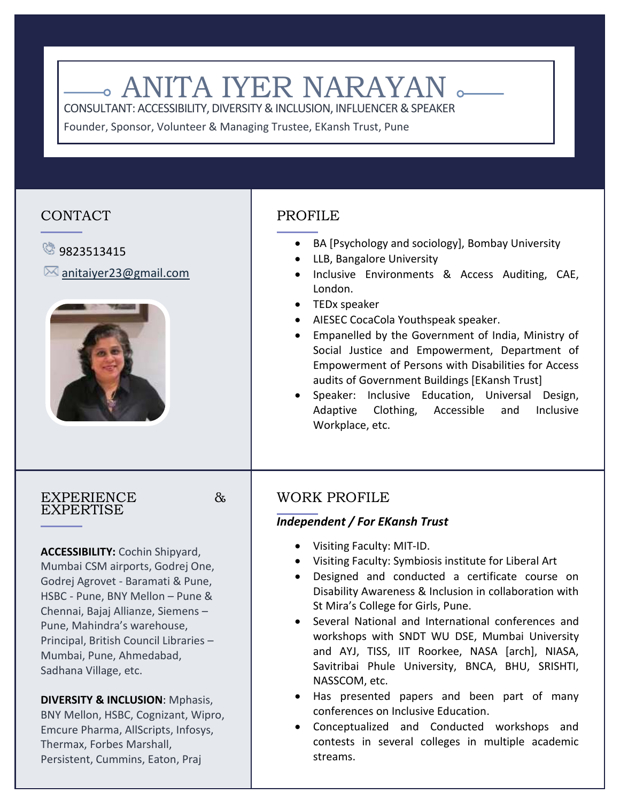# **. ANITA IYER NARAYAN**

CONSULTANT: ACCESSIBILITY, DIVERSITY & INCLUSION, INFLUENCER & SPEAKER

Founder, Sponsor, Volunteer & Managing Trustee, EKansh Trust, Pune

## CONTACT

# **8**9823513415

 $\boxtimes$  [anitaiyer23@gmail.com](mailto:anitaiyer23@gmail.com)



# PROFILE

- BA [Psychology and sociology], Bombay University
- LLB, Bangalore University
- Inclusive Environments & Access Auditing, CAE, London.
- TEDx speaker
- AIESEC CocaCola Youthspeak speaker.
- Empanelled by the Government of India, Ministry of Social Justice and Empowerment, Department of Empowerment of Persons with Disabilities for Access audits of Government Buildings [EKansh Trust]
- Speaker: Inclusive Education, Universal Design, Adaptive Clothing, Accessible and Inclusive Workplace, etc.

### EXPERIENCE & EXPERTISE

**ACCESSIBILITY:** Cochin Shipyard, Mumbai CSM airports, Godrej One, Godrej Agrovet - Baramati & Pune, HSBC - Pune, BNY Mellon – Pune & Chennai, Bajaj Allianze, Siemens – Pune, Mahindra's warehouse, Principal, British Council Libraries – Mumbai, Pune, Ahmedabad, Sadhana Village, etc.

### **DIVERSITY & INCLUSION**: Mphasis, BNY Mellon, HSBC, Cognizant, Wipro, Emcure Pharma, AllScripts, Infosys, Thermax, Forbes Marshall, Persistent, Cummins, Eaton, Praj

# WORK PROFILE

## *Independent / For EKansh Trust*

- Visiting Faculty: MIT-ID.
- Visiting Faculty: Symbiosis institute for Liberal Art
- Designed and conducted a certificate course on Disability Awareness & Inclusion in collaboration with St Mira's College for Girls, Pune.
- Several National and International conferences and workshops with SNDT WU DSE, Mumbai University and AYJ, TISS, IIT Roorkee, NASA [arch], NIASA, Savitribai Phule University, BNCA, BHU, SRISHTI, NASSCOM, etc.
- Has presented papers and been part of many conferences on Inclusive Education.
- Conceptualized and Conducted workshops and contests in several colleges in multiple academic streams.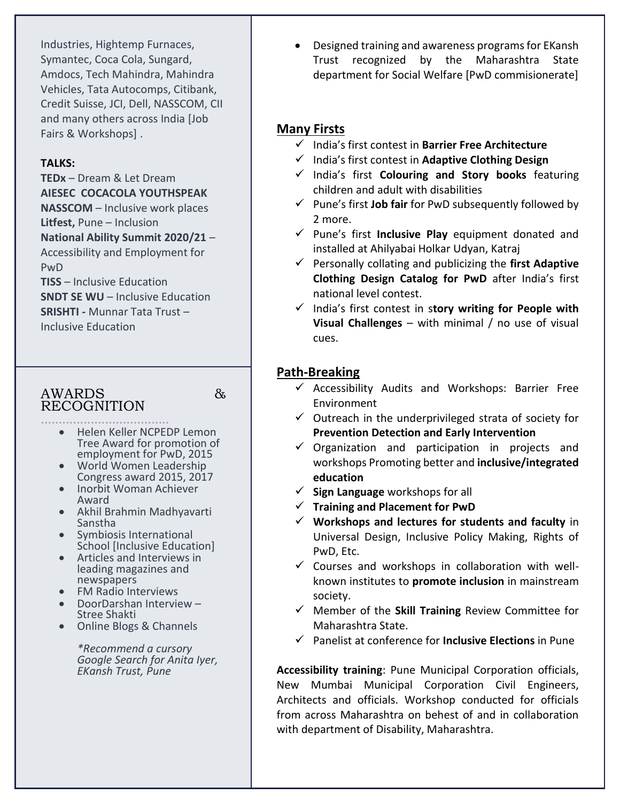Industries, Hightemp Furnaces, Symantec, Coca Cola, Sungard, Amdocs, Tech Mahindra, Mahindra Vehicles, Tata Autocomps, Citibank, Credit Suisse, JCI, Dell, NASSCOM, CII and many others across India [Job Fairs & Workshops] .

#### **TALKS:**

**TEDx** – Dream & Let Dream **AIESEC COCACOLA YOUTHSPEAK NASSCOM** – Inclusive work places **Litfest,** Pune – Inclusion **National Ability Summit 2020/21** – Accessibility and Employment for PwD **TISS** – Inclusive Education

**SNDT SE WU** – Inclusive Education **SRISHTI -** Munnar Tata Trust – Inclusive Education

## AWARDS & RECOGNITION

- .................................... • Helen Keller NCPEDP Lemon Tree Award for promotion of employment for PwD, 2015
	- World Women Leadership Congress award 2015, 2017
	- Inorbit Woman Achiever Award
	- Akhil Brahmin Madhyavarti Sanstha
	- Symbiosis International School [Inclusive Education]
	- Articles and Interviews in leading magazines and newspapers
	- FM Radio Interviews
	- DoorDarshan Interview Stree Shakti
	- Online Blogs & Channels

*\*Recommend a cursory Google Search for Anita Iyer, EKansh Trust, Pune*

 Designed training and awareness programs for EKansh Trust recognized by the Maharashtra State department for Social Welfare [PwD commisionerate]

## **Many Firsts**

- India's first contest in **Barrier Free Architecture**
- India's first contest in **Adaptive Clothing Design**
- India's first **Colouring and Story books** featuring children and adult with disabilities
- Pune's first **Job fair** for PwD subsequently followed by 2 more.
- $\checkmark$  Pune's first **Inclusive Play** equipment donated and installed at Ahilyabai Holkar Udyan, Katraj
- $\checkmark$  Personally collating and publicizing the first Adaptive **Clothing Design Catalog for PwD** after India's first national level contest.
- India's first contest in s**tory writing for People with Visual Challenges** – with minimal / no use of visual cues.

## **Path-Breaking**

- $\checkmark$  Accessibility Audits and Workshops: Barrier Free Environment
- $\checkmark$  Outreach in the underprivileged strata of society for **Prevention Detection and Early Intervention**
- $\checkmark$  Organization and participation in projects and workshops Promoting better and **inclusive/integrated education**
- **Sign Language** workshops for all
- **Training and Placement for PwD**
- **Workshops and lectures for students and faculty** in Universal Design, Inclusive Policy Making, Rights of PwD, Etc.
- $\checkmark$  Courses and workshops in collaboration with wellknown institutes to **promote inclusion** in mainstream society.
- $\checkmark$  Member of the **Skill Training** Review Committee for Maharashtra State.
- Panelist at conference for **Inclusive Elections** in Pune

**Accessibility training**: Pune Municipal Corporation officials, New Mumbai Municipal Corporation Civil Engineers, Architects and officials. Workshop conducted for officials from across Maharashtra on behest of and in collaboration with department of Disability, Maharashtra.